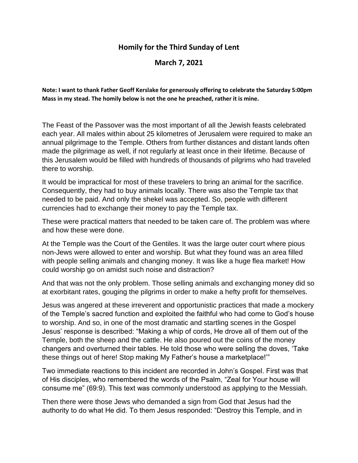## **Homily for the Third Sunday of Lent**

## **March 7, 2021**

**Note: I want to thank Father Geoff Kerslake for generously offering to celebrate the Saturday 5:00pm Mass in my stead. The homily below is not the one he preached, rather it is mine.**

The Feast of the Passover was the most important of all the Jewish feasts celebrated each year. All males within about 25 kilometres of Jerusalem were required to make an annual pilgrimage to the Temple. Others from further distances and distant lands often made the pilgrimage as well, if not regularly at least once in their lifetime. Because of this Jerusalem would be filled with hundreds of thousands of pilgrims who had traveled there to worship.

It would be impractical for most of these travelers to bring an animal for the sacrifice. Consequently, they had to buy animals locally. There was also the Temple tax that needed to be paid. And only the shekel was accepted. So, people with different currencies had to exchange their money to pay the Temple tax.

These were practical matters that needed to be taken care of. The problem was where and how these were done.

At the Temple was the Court of the Gentiles. It was the large outer court where pious non-Jews were allowed to enter and worship. But what they found was an area filled with people selling animals and changing money. It was like a huge flea market! How could worship go on amidst such noise and distraction?

And that was not the only problem. Those selling animals and exchanging money did so at exorbitant rates, gouging the pilgrims in order to make a hefty profit for themselves.

Jesus was angered at these irreverent and opportunistic practices that made a mockery of the Temple's sacred function and exploited the faithful who had come to God's house to worship. And so, in one of the most dramatic and startling scenes in the Gospel Jesus' response is described: "Making a whip of cords, He drove all of them out of the Temple, both the sheep and the cattle. He also poured out the coins of the money changers and overturned their tables. He told those who were selling the doves, 'Take these things out of here! Stop making My Father's house a marketplace!'"

Two immediate reactions to this incident are recorded in John's Gospel. First was that of His disciples, who remembered the words of the Psalm, "Zeal for Your house will consume me" (69:9). This text was commonly understood as applying to the Messiah.

Then there were those Jews who demanded a sign from God that Jesus had the authority to do what He did. To them Jesus responded: "Destroy this Temple, and in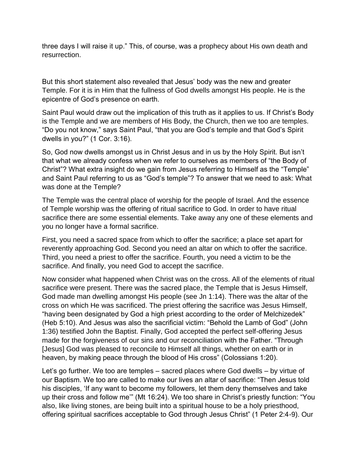three days I will raise it up." This, of course, was a prophecy about His own death and resurrection.

But this short statement also revealed that Jesus' body was the new and greater Temple. For it is in Him that the fullness of God dwells amongst His people. He is the epicentre of God's presence on earth.

Saint Paul would draw out the implication of this truth as it applies to us. If Christ's Body is the Temple and we are members of His Body, the Church, then we too are temples. "Do you not know," says Saint Paul, "that you are God's temple and that God's Spirit dwells in you?" (1 Cor. 3:16).

So, God now dwells amongst us in Christ Jesus and in us by the Holy Spirit. But isn't that what we already confess when we refer to ourselves as members of "the Body of Christ"? What extra insight do we gain from Jesus referring to Himself as the "Temple" and Saint Paul referring to us as "God's temple"? To answer that we need to ask: What was done at the Temple?

The Temple was the central place of worship for the people of Israel. And the essence of Temple worship was the offering of ritual sacrifice to God. In order to have ritual sacrifice there are some essential elements. Take away any one of these elements and you no longer have a formal sacrifice.

First, you need a sacred space from which to offer the sacrifice; a place set apart for reverently approaching God. Second you need an altar on which to offer the sacrifice. Third, you need a priest to offer the sacrifice. Fourth, you need a victim to be the sacrifice. And finally, you need God to accept the sacrifice.

Now consider what happened when Christ was on the cross. All of the elements of ritual sacrifice were present. There was the sacred place, the Temple that is Jesus Himself, God made man dwelling amongst His people (see Jn 1:14). There was the altar of the cross on which He was sacrificed. The priest offering the sacrifice was Jesus Himself, "having been designated by God a high priest according to the order of Melchizedek" (Heb 5:10). And Jesus was also the sacrificial victim: "Behold the Lamb of God" (John 1:36) testified John the Baptist. Finally, God accepted the perfect self-offering Jesus made for the forgiveness of our sins and our reconciliation with the Father. "Through [Jesus] God was pleased to reconcile to Himself all things, whether on earth or in heaven, by making peace through the blood of His cross" (Colossians 1:20).

Let's go further. We too are temples – sacred places where God dwells – by virtue of our Baptism. We too are called to make our lives an altar of sacrifice: "Then Jesus told his disciples, 'If any want to become my followers, let them deny themselves and take up their cross and follow me'" (Mt 16:24). We too share in Christ's priestly function: "You also, like living stones, are being built into a spiritual house to be a holy priesthood, offering spiritual sacrifices acceptable to God through Jesus Christ" (1 Peter 2:4-9). Our